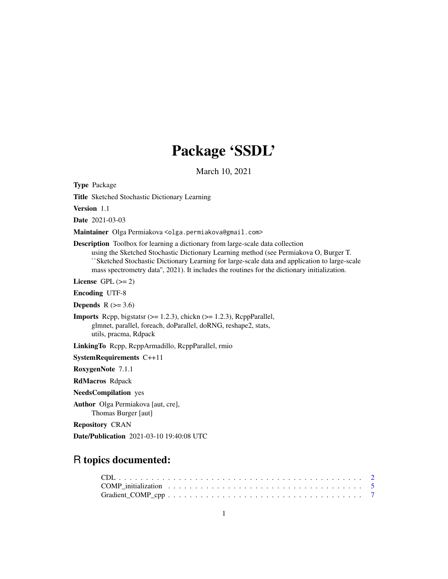## Package 'SSDL'

March 10, 2021

<span id="page-0-0"></span>Type Package

Title Sketched Stochastic Dictionary Learning

Version 1.1

Date 2021-03-03

Maintainer Olga Permiakova <olga.permiakova@gmail.com>

Description Toolbox for learning a dictionary from large-scale data collection

using the Sketched Stochastic Dictionary Learning method (see Permiakova O, Burger T. ``Sketched Stochastic Dictionary Learning for large-scale data and application to large-scale mass spectrometry data'', 2021). It includes the routines for the dictionary initialization.

License GPL  $(>= 2)$ 

Encoding UTF-8

**Depends**  $R$  ( $>= 3.6$ )

**Imports** Rcpp, bigstatsr  $(>= 1.2.3)$ , chickn  $(>= 1.2.3)$ , RcppParallel, glmnet, parallel, foreach, doParallel, doRNG, reshape2, stats, utils, pracma, Rdpack

LinkingTo Rcpp, RcppArmadillo, RcppParallel, rmio

SystemRequirements C++11

RoxygenNote 7.1.1

RdMacros Rdpack

NeedsCompilation yes

Author Olga Permiakova [aut, cre], Thomas Burger [aut]

Repository CRAN

Date/Publication 2021-03-10 19:40:08 UTC

### R topics documented:

| COMP initialization $\ldots \ldots \ldots \ldots \ldots \ldots \ldots \ldots \ldots \ldots \ldots \ldots$ |  |  |  |  |  |  |  |  |  |  |  |  |  |  |  |  |  |
|-----------------------------------------------------------------------------------------------------------|--|--|--|--|--|--|--|--|--|--|--|--|--|--|--|--|--|
|                                                                                                           |  |  |  |  |  |  |  |  |  |  |  |  |  |  |  |  |  |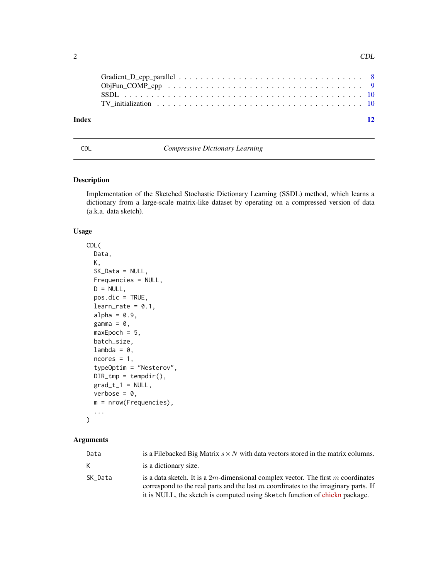<span id="page-1-0"></span>

| Index | $\overline{12}$ |
|-------|-----------------|

#### <span id="page-1-1"></span>CDL *Compressive Dictionary Learning*

#### Description

Implementation of the Sketched Stochastic Dictionary Learning (SSDL) method, which learns a dictionary from a large-scale matrix-like dataset by operating on a compressed version of data (a.k.a. data sketch).

#### Usage

```
CDL(
  Data,
 K,
  SK_Data = NULL,
  Frequencies = NULL,
 D = NULL,pos.dic = TRUE,
  learn_rate = 0.1,
  alpha = 0.9,
  gamma = \theta,
  maxEpoch = 5,
 batch_size,
  lambda = 0,
  ncores = 1,
  typeOptim = "Nesterov",
  DIR\_tmp = tempdir(),grad_t_1 = NULL,verbose = 0,
 m = nrow(Frequencies),
  ...
\mathcal{L}
```
#### Arguments

| Data    | is a Filebacked Big Matrix $s \times N$ with data vectors stored in the matrix columns.                                                                                                                                                                    |
|---------|------------------------------------------------------------------------------------------------------------------------------------------------------------------------------------------------------------------------------------------------------------|
| К       | is a dictionary size.                                                                                                                                                                                                                                      |
| SK Data | is a data sketch. It is a $2m$ -dimensional complex vector. The first m coordinates<br>correspond to the real parts and the last $m$ coordinates to the imaginary parts. If<br>it is NULL, the sketch is computed using Sketch function of chickn package. |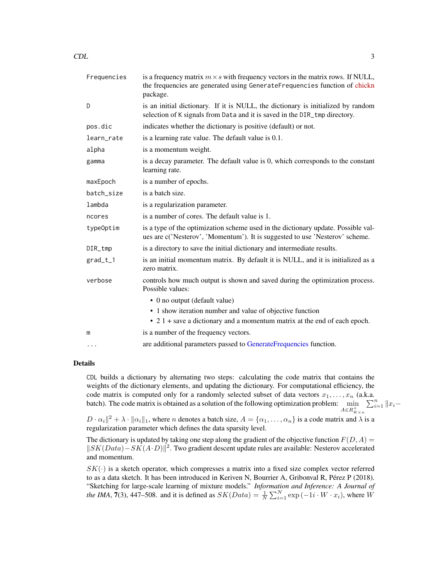<span id="page-2-0"></span>

| Frequencies | is a frequency matrix $m \times s$ with frequency vectors in the matrix rows. If NULL,<br>the frequencies are generated using GenerateFrequencies function of chickn<br>package. |
|-------------|----------------------------------------------------------------------------------------------------------------------------------------------------------------------------------|
| D           | is an initial dictionary. If it is NULL, the dictionary is initialized by random<br>selection of K signals from Data and it is saved in the DIR_tmp directory.                   |
| pos.dic     | indicates whether the dictionary is positive (default) or not.                                                                                                                   |
| learn_rate  | is a learning rate value. The default value is 0.1.                                                                                                                              |
| alpha       | is a momentum weight.                                                                                                                                                            |
| gamma       | is a decay parameter. The default value is 0, which corresponds to the constant<br>learning rate.                                                                                |
| maxEpoch    | is a number of epochs.                                                                                                                                                           |
| batch_size  | is a batch size.                                                                                                                                                                 |
| lambda      | is a regularization parameter.                                                                                                                                                   |
| ncores      | is a number of cores. The default value is 1.                                                                                                                                    |
| typeOptim   | is a type of the optimization scheme used in the dictionary update. Possible val-<br>ues are c('Nesterov', 'Momentum'). It is suggested to use 'Nesterov' scheme.                |
| DIR_tmp     | is a directory to save the initial dictionary and intermediate results.                                                                                                          |
| $grad_t_1$  | is an initial momentum matrix. By default it is NULL, and it is initialized as a<br>zero matrix.                                                                                 |
| verbose     | controls how much output is shown and saved during the optimization process.<br>Possible values:                                                                                 |
|             | • 0 no output (default value)                                                                                                                                                    |
|             | • 1 show iteration number and value of objective function                                                                                                                        |
|             | • 2.1 + save a dictionary and a momentum matrix at the end of each epoch.                                                                                                        |
| m           | is a number of the frequency vectors.                                                                                                                                            |
| $\cdots$    | are additional parameters passed to GenerateFrequencies function.                                                                                                                |

#### Details

CDL builds a dictionary by alternating two steps: calculating the code matrix that contains the weights of the dictionary elements, and updating the dictionary. For computational efficiency, the code matrix is computed only for a randomly selected subset of data vectors  $x_1, \ldots, x_n$  (a.k.a. batch). The code matrix is obtained as a solution of the following optimization problem:  $\min_{A \in R_{K \times n}^{+}}$  $\sum_{i=1}^n ||x_i-$ 

 $D \cdot \alpha_i ||^2 + \lambda \cdot ||\alpha_i||_1$ , where n denotes a batch size,  $A = \{\alpha_1, \dots, \alpha_n\}$  is a code matrix and  $\lambda$  is a regularization parameter which defines the data sparsity level.

The dictionary is updated by taking one step along the gradient of the objective function  $F(D, A) =$  $||SK(Data) – SK(A \cdot D)||^2$ . Two gradient descent update rules are available: Nesterov accelerated and momentum.

 $SK(\cdot)$  is a sketch operator, which compresses a matrix into a fixed size complex vector referred to as a data sketch. It has been introduced in Keriven N, Bourrier A, Gribonval R, Pérez P (2018). "Sketching for large-scale learning of mixture models." *Information and Inference: A Journal of the IMA*, **7**(3), 447–508. and it is defined as  $SK(Data) = \frac{1}{N} \sum_{i=1}^{N} \exp(-1i \cdot W \cdot x_i)$ , where W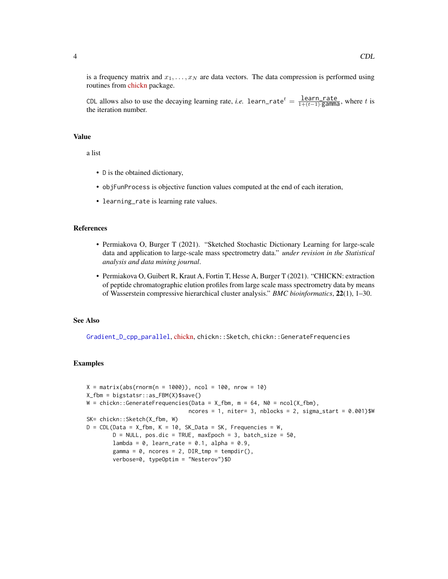<span id="page-3-0"></span>is a frequency matrix and  $x_1, \ldots, x_N$  are data vectors. The data compression is performed using routines from [chickn](https://CRAN.R-project.org/package=chickn) package.

CDL allows also to use the decaying learning rate, *i.e.* learn\_rate<sup>t</sup> =  $\frac{\text{learn\_rate}}{1+(t-1)\cdot\text{gamma}}$ , where t is the iteration number.

#### Value

a list

- D is the obtained dictionary,
- objFunProcess is objective function values computed at the end of each iteration,
- learning\_rate is learning rate values.

#### References

- Permiakova O, Burger T (2021). "Sketched Stochastic Dictionary Learning for large-scale data and application to large-scale mass spectrometry data." *under revision in the Statistical analysis and data mining journal*.
- Permiakova O, Guibert R, Kraut A, Fortin T, Hesse A, Burger T (2021). "CHICKN: extraction of peptide chromatographic elution profiles from large scale mass spectrometry data by means of Wasserstein compressive hierarchical cluster analysis." *BMC bioinformatics*, 22(1), 1–30.

#### See Also

[Gradient\\_D\\_cpp\\_parallel](#page-7-1), [chickn,](https://CRAN.R-project.org/package=chickn) chickn::Sketch, chickn::GenerateFrequencies

```
X = matrix(abs(rnorm(n = 1000)), ncol = 100, nrow = 10)X_fbm = bigstatsr::as_FBM(X)$save()
W = chickn::GenerateFrequencies(Data = X_ffbm, m = 64, N0 = ncol(X_fbm),
                               ncores = 1, niter= 3, nblocks = 2, sigma_start = 0.001)$W
SK= chickn::Sketch(X_fbm, W)
D = CDL(Data = X_fbm, K = 10, SK_Data = SK, Frequencies = W,D = NULL, pos.dic = TRUE, maxEpoch = 3, batch_size = 50,
        lambda = 0, learn_rate = 0.1, alpha = 0.9,
        gamma = 0, ncores = 2, DIR_tmp = tempdir(),
        verbose=0, typeOptim = "Nesterov")$D
```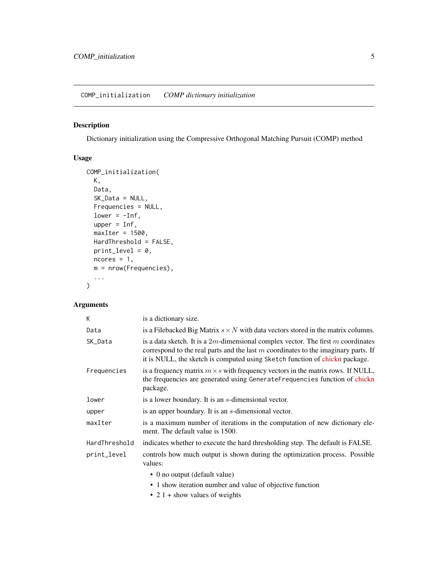#### <span id="page-4-1"></span><span id="page-4-0"></span>Description

Dictionary initialization using the Compressive Orthogonal Matching Pursuit (COMP) method

#### Usage

```
COMP_initialization(
 K,
 Data,
 SK_Data = NULL,
 Frequencies = NULL,
 lower = -Inf,upper = Inf,maxIter = 1500,HardThreshold = FALSE,
 print\_level = 0,
 ncores = 1,
 m = nrow(Frequencies),
  ...
)
```
#### Arguments

| K             | is a dictionary size.                                                                                                                                                                                                                                      |
|---------------|------------------------------------------------------------------------------------------------------------------------------------------------------------------------------------------------------------------------------------------------------------|
| Data          | is a Filebacked Big Matrix $s \times N$ with data vectors stored in the matrix columns.                                                                                                                                                                    |
| SK_Data       | is a data sketch. It is a $2m$ -dimensional complex vector. The first m coordinates<br>correspond to the real parts and the last $m$ coordinates to the imaginary parts. If<br>it is NULL, the sketch is computed using Sketch function of chickn package. |
| Frequencies   | is a frequency matrix $m \times s$ with frequency vectors in the matrix rows. If NULL,<br>the frequencies are generated using GenerateFrequencies function of chickn<br>package.                                                                           |
| lower         | is a lower boundary. It is an <i>s</i> -dimensional vector.                                                                                                                                                                                                |
| upper         | is an upper boundary. It is an s-dimensional vector.                                                                                                                                                                                                       |
| maxIter       | is a maximum number of iterations in the computation of new dictionary ele-<br>ment. The default value is 1500.                                                                                                                                            |
| HardThreshold | indicates whether to execute the hard thresholding step. The default is FALSE.                                                                                                                                                                             |
| print_level   | controls how much output is shown during the optimization process. Possible<br>values:                                                                                                                                                                     |
|               | • 0 no output (default value)                                                                                                                                                                                                                              |
|               | • 1 show iteration number and value of objective function                                                                                                                                                                                                  |
|               |                                                                                                                                                                                                                                                            |

• 2 1 + show values of weights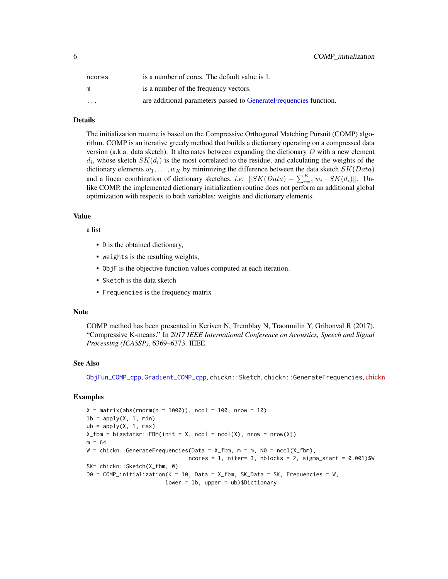<span id="page-5-0"></span>

| ncores   | is a number of cores. The default value is 1.                     |
|----------|-------------------------------------------------------------------|
| m        | is a number of the frequency vectors.                             |
| $\cdots$ | are additional parameters passed to GenerateFrequencies function. |

#### Details

The initialization routine is based on the Compressive Orthogonal Matching Pursuit (COMP) algorithm. COMP is an iterative greedy method that builds a dictionary operating on a compressed data version (a.k.a. data sketch). It alternates between expanding the dictionary  $D$  with a new element  $d_i$ , whose sketch  $SK(d_i)$  is the most correlated to the residue, and calculating the weights of the dictionary elements  $w_1, \ldots, w_K$  by minimizing the difference between the data sketch  $SK(Data)$ and a linear combination of dictionary sketches, *i.e.*  $||SK(Data) - \sum_{i=1}^{K} w_i \cdot SK(d_i)||$ . Unlike COMP, the implemented dictionary initialization routine does not perform an additional global optimization with respects to both variables: weights and dictionary elements.

#### Value

a list

- D is the obtained dictionary,
- weights is the resulting weights,
- ObjF is the objective function values computed at each iteration.
- Sketch is the data sketch
- Frequencies is the frequency matrix

#### Note

COMP method has been presented in Keriven N, Tremblay N, Traonmilin Y, Gribonval R (2017). "Compressive K-means." In *2017 IEEE International Conference on Acoustics, Speech and Signal Processing (ICASSP)*, 6369–6373. IEEE.

#### See Also

[ObjFun\\_COMP\\_cpp](#page-8-1), [Gradient\\_COMP\\_cpp](#page-6-1), chickn::Sketch, chickn::GenerateFrequencies, [chickn](https://CRAN.R-project.org/package=chickn)

```
X = matrix(abs(rnorm(n = 1000)), ncol = 100, nrow = 10)lb = apply(X, 1, min)ub = apply(X, 1, max)X_ffbm = bigstatsr::FBM(init = X, ncol = ncol(X), nrow = nrow(X))
m = 64W = \text{chickn}: \text{GenerateFrequencies}(\text{Data} = X_f \text{fbm}, m = m, N0 = \text{ncol}(X_f \text{fbm}),ncores = 1, niter = 3, nblocks = 2, sigma\_start = 0.001)$W
SK= chickn::Sketch(X_fbm, W)
D0 = COMP_initialization(K = 10, Data = X_fbm, SK_Data = SK, Frequencies = W,
                          lower = lb, upper = ub)$Dictionary
```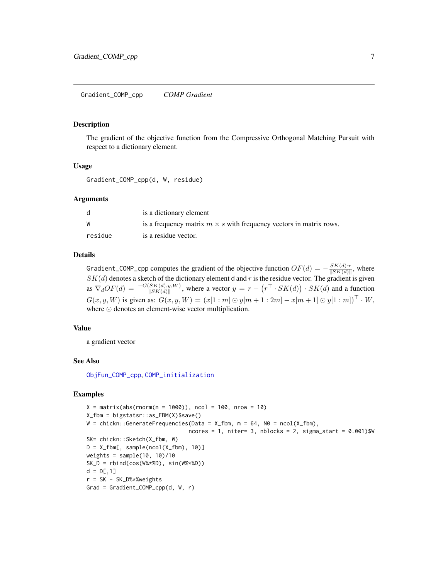#### <span id="page-6-1"></span><span id="page-6-0"></span>Description

The gradient of the objective function from the Compressive Orthogonal Matching Pursuit with respect to a dictionary element.

#### Usage

Gradient\_COMP\_cpp(d, W, residue)

#### Arguments

| -d      | is a dictionary element                                                   |
|---------|---------------------------------------------------------------------------|
| W       | is a frequency matrix $m \times s$ with frequency vectors in matrix rows. |
| residue | is a residue vector.                                                      |

#### Details

Gradient\_COMP\_cpp computes the gradient of the objective function  $OF(d) = -\frac{SK(d) \cdot r}{\sqrt{SK(d)}}$  $\frac{\mathcal{S}\mathbf{K}(a)\cdot r}{\|\mathcal{S}\mathbf{K}(d)\|}$ , where  $SK(d)$  denotes a sketch of the dictionary element d and r is the residue vector. The gradient is given as  $\nabla_d OF(d) = \frac{-G(SK(d), y, W)}{\|SK(d)\|}$ , where a vector  $y = r - (r^{\top} \cdot SK(d)) \cdot SK(d)$  and a function  $G(x, y, W)$  is given as:  $G(x, y, W) = (x[1:m] \odot y[m+1:2m] - x[m+1] \odot y[1:m])^{\top} \cdot W$ , where  $\odot$  denotes an element-wise vector multiplication.

#### Value

a gradient vector

#### See Also

[ObjFun\\_COMP\\_cpp](#page-8-1), [COMP\\_initialization](#page-4-1)

```
X = matrix(abs(rnorm(n = 1000)), ncol = 100, nrow = 10)X_fbm = bigstatsr::as_FBM(X)$save()
W = \text{chickn}: \text{GenerateFrequencies}(\text{Data} = X_f \text{fbm}, m = 64, N0 = \text{ncol}(X_f \text{fbm}),ncores = 1, niter= 3, nblocks = 2, sigma_start = 0.001)$W
SK= chickn::Sketch(X_fbm, W)
D = X_fbm[, sample(ncol(X_fbm), 10)weights = sample(10, 10)/10SK_D = rbind(cos(Wx*ND), sin(Wx*ND))d = D[, 1]r = SK - SK_D%*%weights
Grad = Gradient_COMP_cpp(d, W, r)
```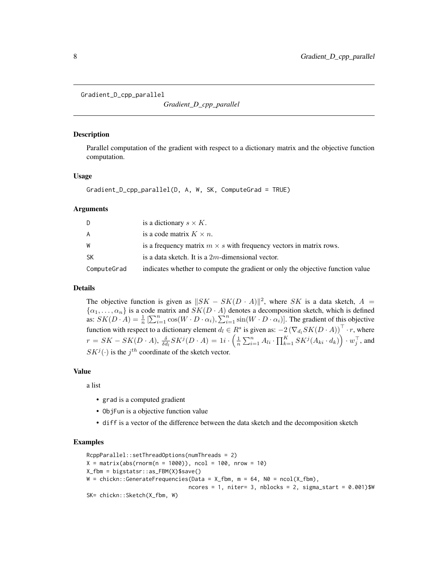<span id="page-7-1"></span><span id="page-7-0"></span>Gradient\_D\_cpp\_parallel

*Gradient\_D\_cpp\_parallel*

#### **Description**

Parallel computation of the gradient with respect to a dictionary matrix and the objective function computation.

#### Usage

Gradient\_D\_cpp\_parallel(D, A, W, SK, ComputeGrad = TRUE)

#### Arguments

|             | is a dictionary $s \times K$ .                                                 |
|-------------|--------------------------------------------------------------------------------|
| A           | is a code matrix $K \times n$ .                                                |
| W           | is a frequency matrix $m \times s$ with frequency vectors in matrix rows.      |
| SK          | is a data sketch. It is a $2m$ -dimensional vector.                            |
| ComputeGrad | indicates whether to compute the gradient or only the objective function value |

#### Details

The objective function is given as  $||SK - SK(D \cdot A)||^2$ , where SK is a data sketch, A =  $\{\alpha_1, \dots, \alpha_n\}$  is a code matrix and  $SK(D \cdot A)$  denotes a decomposition sketch, which is defined as:  $SK(D \cdot A) = \frac{1}{n} \left[ \sum_{i=1}^{n} \cos(W \cdot D \cdot \alpha_i), \sum_{i=1}^{n} \sin(W \cdot D \cdot \alpha_i) \right]$ . The gradient of this objective function with respect to a dictionary element  $d_l \in R^s$  is given as:  $-2(\nabla_{d_l} SK(D \cdot A))^{\top} \cdot r$ , where  $r = SK - SK(D \cdot A), \, \frac{\delta}{\delta d_l} SK^j(D \cdot A) = 1i \cdot \left( \frac{1}{n} \sum_{i=1}^n A_{li} \cdot \prod_{k=1}^K SK^j(A_{ki} \cdot d_k) \right) \cdot w_j^\top,$  and  $SK^{j}(\cdot)$  is the  $j^{th}$  coordinate of the sketch vector.

#### Value

a list

- grad is a computed gradient
- ObjFun is a objective function value
- diff is a vector of the difference between the data sketch and the decomposition sketch

```
RcppParallel::setThreadOptions(numThreads = 2)
X = matrix(abs(rnorm(n = 1000)), ncol = 100, nrow = 10)X_fbm = bigstatsr::as_FBM(X)$save()
W = \text{chickn}: \text{GenerateFrequencies}(\text{Data} = X_f \text{fbm}, m = 64, N0 = \text{ncol}(X_f \text{fbm}),ncores = 1, niter = 3, nblocks = 2, sigma\_start = 0.001)$W
SK= chickn::Sketch(X_fbm, W)
```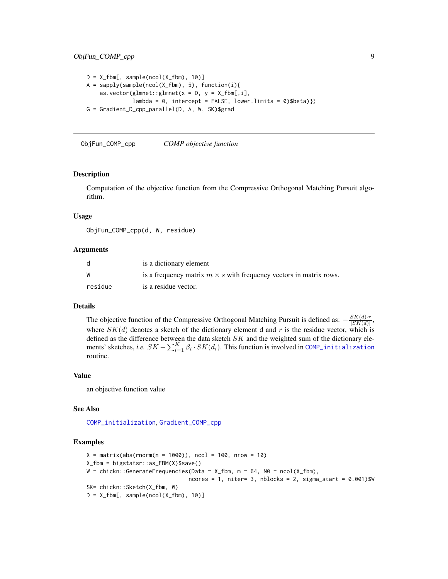```
D = X_fbm[, sample(ncol(X_fbm), 10)]A = sapply(sample(ncol(X_fbm), 5), function(i){
    as.vector(glmnet::glmnet(x = D, y = X_fbm[, i],lambda = 0, intercept = FALSE, lower.limits = 0)$beta)})
G = Gradient_D_cpp_parallel(D, A, W, SK)$grad
```
<span id="page-8-1"></span>ObjFun\_COMP\_cpp *COMP objective function*

#### Description

Computation of the objective function from the Compressive Orthogonal Matching Pursuit algorithm.

#### Usage

ObjFun\_COMP\_cpp(d, W, residue)

#### Arguments

| d       | is a dictionary element                                                   |
|---------|---------------------------------------------------------------------------|
| W       | is a frequency matrix $m \times s$ with frequency vectors in matrix rows. |
| residue | is a residue vector.                                                      |

#### Details

The objective function of the Compressive Orthogonal Matching Pursuit is defined as:  $-\frac{SK(d)}{\|SK(d)\|}$  $\frac{\mathcal{S}\mathbf{K}(a)\cdot r}{\|\mathcal{S}\mathbf{K}(d)\|},$ where  $SK(d)$  denotes a sketch of the dictionary element d and r is the residue vector, which is defined as the difference between the data sketch  $SK$  and the weighted sum of the dictionary elements' sketches, *i.e.*  $SK - \sum_{i=1}^{K} \beta_i \cdot SK(d_i)$ . This function is involved in [COMP\\_initialization](#page-4-1) routine.

#### Value

an objective function value

#### See Also

[COMP\\_initialization](#page-4-1), [Gradient\\_COMP\\_cpp](#page-6-1)

```
X = matrix(abs(rnorm(n = 1000)), ncol = 100, nrow = 10)X_fbm = bigstatsr::as_FBM(X)$save()
W = \text{chickn}: \text{GenerateFrequencies}(\text{Data} = X_f \text{fbm}, m = 64, N0 = \text{ncol}(X_f \text{fbm}),ncores = 1, niter= 3, nblocks = 2, sigma_start = 0.001)$W
SK= chickn::Sketch(X_fbm, W)
D = X_fbm[, sample(ncol(X_fbm), 10)]
```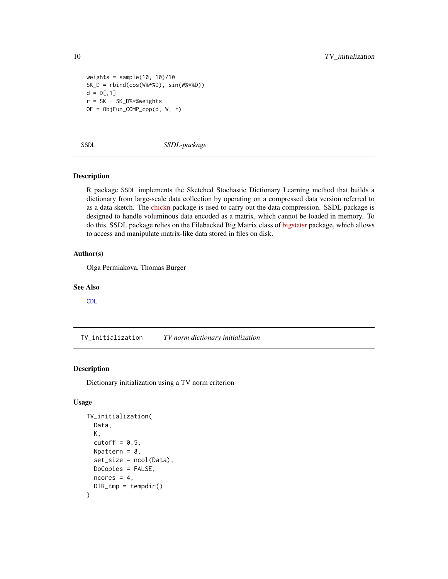```
weights = sample(10, 10)/10SK_D = rbind(cos(W%*%D), sin(W%*%D))
d = D[, 1]r = SK - SK_D% \times \text{Weights}OF = ObjFun_COMP_cpp(d, W, r)
```
SSDL *SSDL-package*

#### Description

R package SSDL implements the Sketched Stochastic Dictionary Learning method that builds a dictionary from large-scale data collection by operating on a compressed data version referred to as a data sketch. The [chickn](https://CRAN.R-project.org/package=chickn) package is used to carry out the data compression. SSDL package is designed to handle voluminous data encoded as a matrix, which cannot be loaded in memory. To do this, SSDL package relies on the Filebacked Big Matrix class of [bigstatsr](https://github.com/privefl/bigstatsr) package, which allows to access and manipulate matrix-like data stored in files on disk.

#### Author(s)

Olga Permiakova, Thomas Burger

#### See Also

[CDL](#page-1-1)

TV\_initialization *TV norm dictionary initialization*

#### Description

Dictionary initialization using a TV norm criterion

#### Usage

```
TV_initialization(
 Data,
  K,
  cutoff = 0.5,
 Npattern = 8,
  set_size = ncol(Data),
 DoCopies = FALSE,
 ncores = 4,
 DIR\_tmp = tempdir())
```
<span id="page-9-0"></span>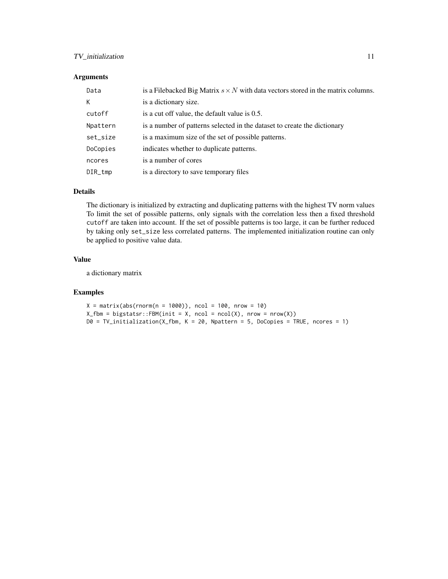#### TV\_initialization 11

#### Arguments

| Data     | is a Filebacked Big Matrix $s \times N$ with data vectors stored in the matrix columns. |
|----------|-----------------------------------------------------------------------------------------|
| К        | is a dictionary size.                                                                   |
| cutoff   | is a cut off value, the default value is 0.5.                                           |
| Npattern | is a number of patterns selected in the dataset to create the dictionary                |
| set_size | is a maximum size of the set of possible patterns.                                      |
| DoCopies | indicates whether to duplicate patterns.                                                |
| ncores   | is a number of cores                                                                    |
| DIR_tmp  | is a directory to save temporary files                                                  |

#### Details

The dictionary is initialized by extracting and duplicating patterns with the highest TV norm values To limit the set of possible patterns, only signals with the correlation less then a fixed threshold cutoff are taken into account. If the set of possible patterns is too large, it can be further reduced by taking only set\_size less correlated patterns. The implemented initialization routine can only be applied to positive value data.

#### Value

a dictionary matrix

```
X = matrix(abs(rnorm(n = 1000)), ncol = 100, nrow = 10)X_ffbm = bigstatsr::FBM(init = X, ncol = ncol(X), nrow = nrow(X))
D0 = TV\_initialization(X_fbm, K = 20, Npattern = 5, DoCopies = TRUE, noores = 1)
```